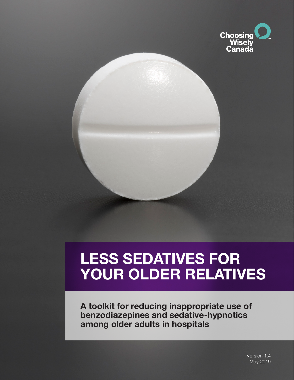

# **LESS SEDATIVES FOR YOUR OLDER RELATIVES**

**A toolkit for reducing inappropriate use of benzodiazepines and sedative-hypnotics among older adults in hospitals**

> Version 1.4 May 2019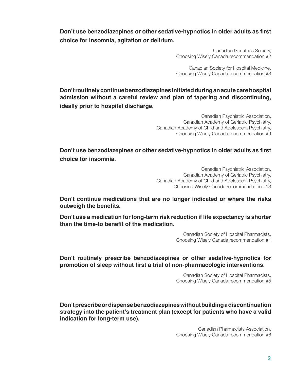**Don't use benzodiazepines or other sedative-hypnotics in older adults as first choice for insomnia, agitation or delirium.**

> Canadian Geriatrics Society, Choosing Wisely Canada recommendation #2

> Canadian Society for Hospital Medicine, Choosing Wisely Canada recommendation #3

**Don't routinely continue benzodiazepines initiated during an acute care hospital admission without a careful review and plan of tapering and discontinuing, ideally prior to hospital discharge.**

> Canadian Psychiatric Association, Canadian Academy of Geriatric Psychiatry, Canadian Academy of Child and Adolescent Psychiatry, Choosing Wisely Canada recommendation #9

**Don't use benzodiazepines or other sedative-hypnotics in older adults as first choice for insomnia.**

> Canadian Psychiatric Association, Canadian Academy of Geriatric Psychiatry, Canadian Academy of Child and Adolescent Psychiatry, Choosing Wisely Canada recommendation #13

**Don't continue medications that are no longer indicated or where the risks outweigh the benefits.**

**Don't use a medication for long-term risk reduction if life expectancy is shorter than the time-to benefit of the medication.**

> Canadian Society of Hospital Pharmacists, Choosing Wisely Canada recommendation #1

**Don't routinely prescribe benzodiazepines or other sedative-hypnotics for promotion of sleep without first a trial of non-pharmacologic interventions.**

> Canadian Society of Hospital Pharmacists, Choosing Wisely Canada recommendation #5

**Don't prescribe or dispense benzodiazepines without building a discontinuation strategy into the patient's treatment plan (except for patients who have a valid indication for long-term use).**

> Canadian Pharmacists Association, Choosing Wisely Canada recommendation #6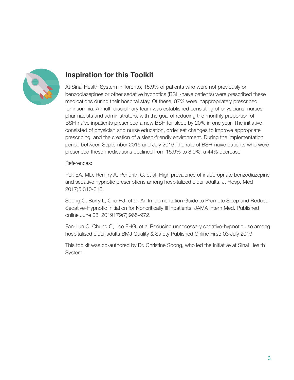

### **Inspiration for this Toolkit**

At Sinai Health System in Toronto, 15.9% of patients who were not previously on benzodiazepines or other sedative hypnotics (BSH-naïve patients) were prescribed these medications during their hospital stay. Of these, 87% were inappropriately prescribed for insomnia. A multi-disciplinary team was established consisting of physicians, nurses, pharmacists and administrators, with the goal of reducing the monthly proportion of BSH-naïve inpatients prescribed a new BSH for sleep by 20% in one year. The initiative consisted of physician and nurse education, order set changes to improve appropriate prescribing, and the creation of a sleep-friendly environment. During the implementation period between September 2015 and July 2016, the rate of BSH-naïve patients who were prescribed these medications declined from 15.9% to 8.9%, a 44% decrease.

References:

Pek EA, MD, Remfry A, Pendrith C, et al. High prevalence of inappropriate benzodiazepine and sedative hypnotic prescriptions among hospitalized older adults. J. Hosp. Med 2017;5;310-316.

Soong C, Burry L, Cho HJ, et al. An Implementation Guide to Promote Sleep and Reduce Sedative-Hypnotic Initiation for Noncritically Ill Inpatients. JAMA Intern Med. Published online June 03, 2019179(7):965–972.

Fan-Lun C, Chung C, Lee EHG, et al Reducing unnecessary sedative-hypnotic use among hospitalised older adults BMJ Quality & Safety Published Online First: 03 July 2019.

This toolkit was co-authored by Dr. Christine Soong, who led the initiative at Sinai Health System.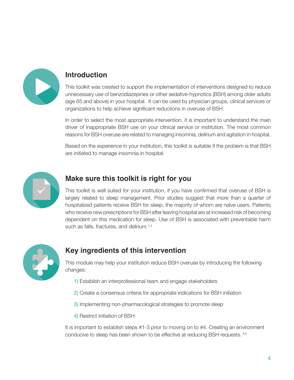

### **Introduction**

This toolkit was created to support the implementation of interventions designed to reduce unnecessary use of benzodiazepines or other sedative-hypnotics (BSH) among older adults (age 65 and above) in your hospital. It can be used by physician groups, clinical services or organizations to help achieve significant reductions in overuse of BSH.

In order to select the most appropriate intervention, it is important to understand the main driver of inappropriate BSH use on your clinical service or institution. The most common reasons for BSH overuse are related to managing insomnia, delirium and agitation in hospital.

Based on the experience in your institution, this toolkit is suitable if the problem is that BSH are initiated to manage insomnia in hospital.



## **Make sure this toolkit is right for you**

This toolkit is well suited for your institution, if you have confirmed that overuse of BSH is largely related to sleep management. Prior studies suggest that more than a quarter of hospitalized patients receive BSH for sleep, the majority of whom are naïve users. Patients who receive new prescriptions for BSH after leaving hospital are at increased risk of becoming dependent on this medication for sleep. Use of BSH is associated with preventable harm such as falls, fractures, and delirium.<sup>1,2</sup>



### **Key ingredients of this intervention**

This module may help your institution reduce BSH overuse by introducing the following changes:

- 1) Establish an interprofessional team and engage stakeholders
- 2) Create a consensus criteria for appropriate indications for BSH initiation
- 3) Implementing non-pharmacological strategies to promote sleep
- 4) Restrict initiation of BSH

It is important to establish steps #1-3 prior to moving on to #4. Creating an environment conducive to sleep has been shown to be effective at reducing BSH requests. 3,4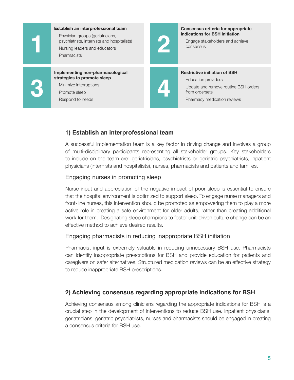#### **Establish an interprofessional team**

Physician groups (geriatricians, Priysician groups (genancians,<br>psychiatrists, internists and hospitalists)<br>Nursing leaders and educators<br>Pharmacists Nursing leaders and educators Pharmacists

> **Implementing non-pharmacological strategies to promote sleep**

Minimize interruptions Promote sleep Respond to needs Minimize interruptions<br>Promote sleep<br>Respond to needs



#### **Consensus criteria for appropriate indications for BSH initiation**

Engage stakeholders and achieve consensus

#### **Restrictive initiation of BSH** Education providers Update and remove routine BSH orders from ordersets Pharmacy medication reviews

#### **1) Establish an interprofessional team**

A successful implementation team is a key factor in driving change and involves a group of multi-disciplinary participants representing all stakeholder groups. Key stakeholders to include on the team are: geriatricians, psychiatrists or geriatric psychiatrists, inpatient physicians (internists and hospitalists), nurses, pharmacists and patients and families.

#### Engaging nurses in promoting sleep

Nurse input and appreciation of the negative impact of poor sleep is essential to ensure that the hospital environment is optimized to support sleep. To engage nurse managers and front-line nurses, this intervention should be promoted as empowering them to play a more active role in creating a safe environment for older adults, rather than creating additional work for them. Designating sleep champions to foster unit-driven culture change can be an effective method to achieve desired results.

#### Engaging pharmacists in reducing inappropriate BSH initiation

Pharmacist input is extremely valuable in reducing unnecessary BSH use. Pharmacists can identify inappropriate prescriptions for BSH and provide education for patients and caregivers on safer alternatives. Structured medication reviews can be an effective strategy to reduce inappropriate BSH prescriptions.

#### **2) Achieving consensus regarding appropriate indications for BSH**

Achieving consensus among clinicians regarding the appropriate indications for BSH is a crucial step in the development of interventions to reduce BSH use. Inpatient physicians, geriatricians, geriatric psychiatrists, nurses and pharmacists should be engaged in creating a consensus criteria for BSH use.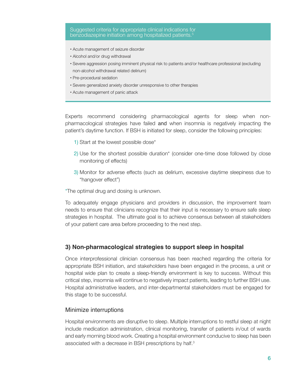#### Suggested criteria for appropriate clinical indications for benzodiazepine initiation among hospitalized patients.<sup>5</sup>

- Acute management of seizure disorder
- Alcohol and/or drug withdrawal
- Severe aggression posing imminent physical risk to patients and/or healthcare professional (excluding non-alcohol withdrawal related delirium)
- Pre-procedural sedation
- Severe generalized anxiety disorder unresponsive to other therapies
- Acute management of panic attack

Experts recommend considering pharmacological agents for sleep when pharmacological strategies have failed and when insomnia is negatively impacting the patient's daytime function. If BSH is initiated for sleep, consider the following principles:

- 1) Start at the lowest possible dose\*
- 2) Use for the shortest possible duration\* (consider one-time dose followed by close monitoring of effects)
- 3) Monitor for adverse effects (such as delirium, excessive daytime sleepiness due to "hangover effect")

\*The optimal drug and dosing is unknown.

To adequately engage physicians and providers in discussion, the improvement team needs to ensure that clinicians recognize that their input is necessary to ensure safe sleep strategies in hospital. The ultimate goal is to achieve consensus between all stakeholders of your patient care area before proceeding to the next step.

#### **3) Non-pharmacological strategies to support sleep in hospital**

Once interprofessional clinician consensus has been reached regarding the criteria for appropriate BSH initiation, and stakeholders have been engaged in the process, a unit or hospital wide plan to create a sleep-friendly environment is key to success. Without this critical step, insomnia will continue to negatively impact patients, leading to further BSH use. Hospital administrative leaders, and inter-departmental stakeholders must be engaged for this stage to be successful.

#### Minimize interruptions

Hospital environments are disruptive to sleep. Multiple interruptions to restful sleep at night include medication administration, clinical monitoring, transfer of patients in/out of wards and early morning blood work. Creating a hospital environment conducive to sleep has been associated with a decrease in BSH prescriptions by half.<sup>3</sup>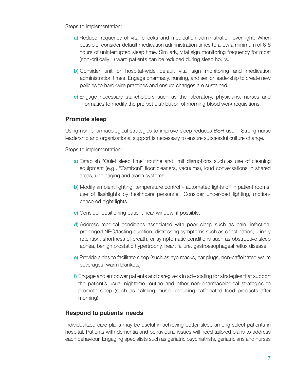Steps to implementation:

- a) Reduce frequency of vital checks and medication administration overnight. When possible, consider default medication administration times to allow a minimum of 6-8 hours of uninterrupted sleep time. Similarly, vital sign monitoring frequency for most (non-critically ill) ward patients can be reduced during sleep hours.
- b) Consider unit or hospital-wide default vital sign monitoring and medication administration times. Engage pharmacy, nursing, and senior leadership to create new policies to hard-wire practices and ensure changes are sustained.
- c) Engage necessary stakeholders such as the laboratory, physicians, nurses and informatics to modify the pre-set distribution of morning blood work requisitions.

#### **Promote sleep**

Using non-pharmacological strategies to improve sleep reduces BSH use.<sup>4</sup> Strong nurse leadership and organizational support is necessary to ensure successful culture change.

Steps to implementation:

- a) Establish "Quiet sleep time" routine and limit disruptions such as use of cleaning equipment (e.g., "Zamboni" floor cleaners, vacuums), loud conversations in shared areas, unit paging and alarm systems.
- b) Modify ambient lighting, temperature control automated lights off in patient rooms, use of flashlights by healthcare personnel. Consider under-bed lighting, motioncensored night lights.
- c) Consider positioning patient near window, if possible.
- d) Address medical conditions associated with poor sleep such as pain, infection, prolonged NPO/fasting duration, distressing symptoms such as constipation, urinary retention, shortness of breath, or symptomatic conditions such as obstructive sleep apnea, benign prostatic hypertrophy, heart failure, gastroesophageal reflux disease.
- e) Provide aides to facilitate sleep (such as eye masks, ear plugs, non-caffeinated warm beverages, warm blankets)
- f) Engage and empower patients and caregivers in advocating for strategies that support the patient's usual nighttime routine and other non-pharmacological strategies to promote sleep (such as calming music, reducing caffeinated food products after morning).

#### **Respond to patients' needs**

Individualized care plans may be useful in achieving better sleep among select patients in hospital. Patients with dementia and behavioural issues will need tailored plans to address each behaviour. Engaging specialists such as geriatric psychiatrists, geriatricians and nurses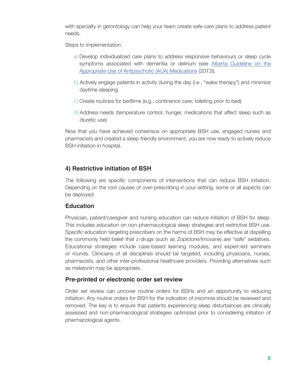with specialty in gerontology can help your team create safe care plans to address patient needs.

Steps to implementation:

- a) Develop individualized care plans to address responsive behaviours or sleep cycle symptoms associated with dementia or delirium (see [Alberta Guideline on the](http://www.%20albertahealthservices.ca/scns/auatoolkit.aspx) [Appropriate Use of Antipsychotic \(AUA\) Medications](http://www.%20albertahealthservices.ca/scns/auatoolkit.aspx) (2013)).
- b) Actively engage patients in activity during the day (i.e., "wake therapy") and minimize daytime sleeping
- c) Create routines for bedtime (e.g., continence care; toileting prior to bed)
- d) Address needs (temperature control, hunger, medications that affect sleep such as diuretic use)

Now that you have achieved consensus on appropriate BSH use, engaged nurses and pharmacists and created a sleep-friendly environment, you are now ready to actively reduce BSH initiation in hospital.

### **4) Restrictive initiation of BSH**

The following are specific components of interventions that can reduce BSH initiation. Depending on the root causes of over-prescribing in your setting, some or all aspects can be deployed.

### **Education**

Physician, patient/caregiver and nursing education can reduce initiation of BSH for sleep. This includes education on non-pharmacological sleep strategies and restrictive BSH use. Specific education targeting prescribers on the harms of BSH may be effective at dispelling the commonly held belief that z-drugs (such as Zopiclone/Imovane) are "safe" sedatives. Educational strategies include case-based learning modules, and expert-led seminars or rounds. Clinicians of all disciplines should be targeted, including physicians, nurses, pharmacists, and other inter-professional healthcare providers. Providing alternatives such as melatonin may be appropriate.

#### **Pre-printed or electronic order set review**

Order set review can uncover routine orders for BSHs and an opportunity to reducing initiation. Any routine orders for BSH for the indication of insomnia should be reviewed and removed. The key is to ensure that patients experiencing sleep disturbances are clinically assessed and non-pharmacological strategies optimized prior to considering initiation of pharmacological agents.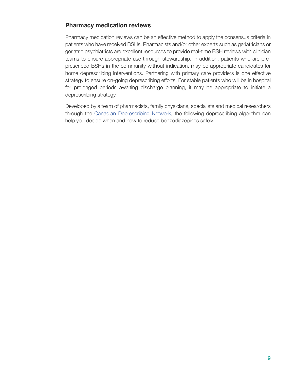#### **Pharmacy medication reviews**

Pharmacy medication reviews can be an effective method to apply the consensus criteria in patients who have received BSHs. Pharmacists and/or other experts such as geriatricians or geriatric psychiatrists are excellent resources to provide real-time BSH reviews with clinician teams to ensure appropriate use through stewardship. In addition, patients who are preprescribed BSHs in the community without indication, may be appropriate candidates for home deprescribing interventions. Partnering with primary care providers is one effective strategy to ensure on-going deprescribing efforts. For stable patients who will be in hospital for prolonged periods awaiting discharge planning, it may be appropriate to initiate a deprescribing strategy.

Developed by a team of pharmacists, family physicians, specialists and medical researchers through the [Canadian Deprescribing Network](http://deprescribing.org), the following deprescribing algorithm can help you decide when and how to reduce benzodiazepines safely.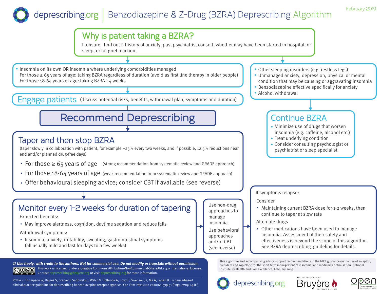### Benzodiazepine & Z-Drug (BZRA) Deprescribing Algorithm February 2019 deprescribing.org

# Why is patient taking a BZRA?

If unsure, find out if history of anxiety, past psychiatrist consult, whether may have been started in hospital for sleep, or for grief reaction.

• Insomnia on its own OR insomnia where underlying comorbidities managed For those ≥ 65 years of age: taking BZRA regardless of duration (avoid as first line therapy in older people) For those 18-64 years of age: taking BZRA  $>$  4 weeks

Engage patients (discuss potential risks, benefits, withdrawal plan, symptoms and duration)

# Recommend Deprescribing

# Taper and then stop BZRA

(taper slowly in collaboration with patient, for example ~25% every two weeks, and if possible, 12.5% reductions near end and/or planned drug-free days)

- For those  $\geq 65$  years of age (strong recommendation from systematic review and GRADE approach)
- For those 18-64 years of age (weak recommendation from systematic review and GRADE approach)
- Offer behavioural sleeping advice; consider CBT if available (see reverse)

# Monitor every 1-2 weeks for duration of tapering  $\int_{\text{anomaches to}}^{\text{Use non-drug}}$

Expected benefits:

May improve alertness, cognition, daytime sedation and reduce falls

Withdrawal symptoms:

• Insomnia, anxiety, irritability, sweating, gastrointestinal symptoms (all usually mild and last for days to a few weeks)

**© Use freely, with credit to the authors. Not for commercial use. Do not modify or translate without permission.** ெை This work is licensed under a Creative Commons Attribution-NonCommercial-ShareAlike 4.0 International License. Contact deprescribing@bruyere.org or visit deprescribing.org for more information. BY NC SA

Pottie K, Thompson W, Davies S, Grenier J, Sadowski C, Welch V, Holbrook A, Boyd C, Swenson JR, Ma A, Farrell B. Evidence-based clinical practice guideline for deprescribing benzodiazepine receptor agonists. Can Fam Physician 2018;64:339-51 (Eng), e209-24 (Fr)

- Other sleeping disorders (e.g. restless legs) •
- Unmanaged anxiety, depression, physical or mental condition that may be causing or aggravating insomnia
- Benzodiazepine effective specifically for anxiety
- Alcohol withdrawal •

# Continue BZRA

- Minimize use of drugs that worsen insomnia (e.g. caffeine, alcohol etc.)
- Treat underlying condition
- Consider consulting psychologist or psychiatrist or sleep specialist

If symptoms relapse:

#### Consider

Maintaining current BZRA dose for 1-2 weeks, then continue to taper at slow rate

Alternate drugs

Other medications have been used to manage insomnia. Assessment of their safety and effectiveness is beyond the scope of this algorithm. See BZRA deprescribing guideline for details.

This algorithm and accompanying advice support recommendations in the NICE guidance on the use of zaleplon, zolpidem and zopiclone for the short-term management of insomnia, and medicines optimisation. National Institute for Health and Care Excellence, February 2019



Use behavioral approaches and/or CBT (see reverse)

approaches to manage insomnia



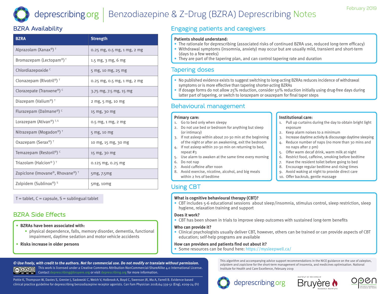#### deprescribing.org Benzodiazepine & Z-Drug (BZRA) Deprescribing Notes

### BZRA Availability

| <b>BZRA</b>                                      | <b>Strength</b>             | <b>Patients should understand:</b><br>• The rationale for deprescribing (associated risl<br>· Withdrawal symptoms (insomnia, anxiety) may<br>(days to a few weeks)<br>• They are part of the tapering plan, and can con                                                                                                                                                                                                                                                                                                                                                                                                                                                                                                                                          |  |
|--------------------------------------------------|-----------------------------|------------------------------------------------------------------------------------------------------------------------------------------------------------------------------------------------------------------------------------------------------------------------------------------------------------------------------------------------------------------------------------------------------------------------------------------------------------------------------------------------------------------------------------------------------------------------------------------------------------------------------------------------------------------------------------------------------------------------------------------------------------------|--|
| Alprazolam (Xanax®) <sup>T</sup>                 | 0.25 mg, 0.5 mg, 1 mg, 2 mg |                                                                                                                                                                                                                                                                                                                                                                                                                                                                                                                                                                                                                                                                                                                                                                  |  |
| Bromazepam (Lectopam®) <sup>™</sup>              | 1.5 mg, $3$ mg, $6$ mg      |                                                                                                                                                                                                                                                                                                                                                                                                                                                                                                                                                                                                                                                                                                                                                                  |  |
| Chlordiazepoxide <sup>c</sup>                    | 5 mg, 10 mg, 25 mg          | <b>Tapering doses</b>                                                                                                                                                                                                                                                                                                                                                                                                                                                                                                                                                                                                                                                                                                                                            |  |
| Clonazepam (Rivotril®) <sup>T</sup>              | 0.25 mg, 0.5 mg, 1 mg, 2 mg | . No published evidence exists to suggest switching<br>symptoms or is more effective than tapering short<br>• If dosage forms do not allow 25% reduction, con<br>latter part of tapering, or switch to lorazepam or<br>Behavioural management<br><b>Primary care:</b><br>1. Go to bed only when sleepy<br>Do not use bed or bedroom for anything but sleep<br>(or intimacy)<br>If not asleep within about 20-30 min at the beginni<br>of the night or after an awakening, exit the bedroon<br>If not asleep within 20-30 min on returning to bed,<br>4.<br>repeat $#3$<br>Use alarm to awaken at the same time every morni<br>Do not nap<br>6.<br>Avoid caffeine after noon<br>7.<br>Avoid exercise, nicotine, alcohol, and big meals<br>within 2 hrs of bedtime |  |
| Clorazepate (Tranxene®) <sup>c</sup>             | 3.75 mg, 7.5 mg, 15 mg      |                                                                                                                                                                                                                                                                                                                                                                                                                                                                                                                                                                                                                                                                                                                                                                  |  |
| Diazepam (Valium®) <sup>T</sup>                  | 2 mg, 5 mg, 10 mg           |                                                                                                                                                                                                                                                                                                                                                                                                                                                                                                                                                                                                                                                                                                                                                                  |  |
| Flurazepam (Dalmane®) <sup>c</sup>               | 15 mg, 30 mg                |                                                                                                                                                                                                                                                                                                                                                                                                                                                                                                                                                                                                                                                                                                                                                                  |  |
| Lorazepam (Ativan <sup>®</sup> ) <sup>T, S</sup> | $0.5$ mg, $1$ mg, $2$ mg    |                                                                                                                                                                                                                                                                                                                                                                                                                                                                                                                                                                                                                                                                                                                                                                  |  |
| Nitrazepam (Mogadon®) <sup>™</sup>               | 5 mg, 10 mg                 |                                                                                                                                                                                                                                                                                                                                                                                                                                                                                                                                                                                                                                                                                                                                                                  |  |
| Oxazepam (Serax®) <sup>™</sup>                   | 10 mg, 15 mg, 30 mg         |                                                                                                                                                                                                                                                                                                                                                                                                                                                                                                                                                                                                                                                                                                                                                                  |  |
| Temazepam (Restoril®) <sup>c</sup>               | 15 mg, 30 mg                |                                                                                                                                                                                                                                                                                                                                                                                                                                                                                                                                                                                                                                                                                                                                                                  |  |
| Triazolam (Halcion®) <sup>T</sup>                | 0.125 mg, 0.25 mg           |                                                                                                                                                                                                                                                                                                                                                                                                                                                                                                                                                                                                                                                                                                                                                                  |  |
| Zopiclone (Imovane®, Rhovane®) <sup>™</sup>      | 5mg, 7.5mg                  |                                                                                                                                                                                                                                                                                                                                                                                                                                                                                                                                                                                                                                                                                                                                                                  |  |
| Zolpidem (Sublinox®) <sup>s</sup>                | 5mg, 10mg                   | Using CBT                                                                                                                                                                                                                                                                                                                                                                                                                                                                                                                                                                                                                                                                                                                                                        |  |

 $T =$  tablet,  $C =$  capsule,  $S =$  sublingual tablet

### BZRA Side Effects

- BZRAs have been associated with:  $\begin{pmatrix} 1 & 1 \\ 1 & 1 \end{pmatrix}$ 
	- physical dependence, falls, memory disorder, dementia, functional  $\begin{array}{c} \text{impairment,} \text{ daytime} \text{~sedation and motor vehicle accidents} \end{array}$
- **Risks increase in older persons**

### Engaging patients and caregivers

#### **Patients should understand:**

- **If we can also continued BZRA** use, reduced long-term efficacy) **If the rationale for deprescribing** (associated risks of continued BZRA use, reduced long-term efficacy)
	- Withdrawal symptoms (insomnia, anxiety) may occur but are usually mild, transient and short-term (days to a few weeks)
	- They are part of the tapering plan, and can control tapering rate and duration

### Tapering doses

- $\bullet$  No published evidence exists to suggest switching to long-acting BZRAs reduces incidence of withdrawal symptoms or is more effective than tapering shorter-acting BZRAs •
- symptoms or is more effective than tapering shorter-acting BZRAs<br>If dosage forms do not allow 25% reduction, consider 50% reduction initially using drug-free days during In dosage forms do not allow 25% reduction, consider 50% reduction initially d<br>latter part of tapering, or switch to lorazepam or oxazepam for final taper steps

•

### Behavioural management

#### **Primary care:**

- 1. Go to bed only when sleepy
- 2. Do not use bed or bedroom for anything but sleep (or intimacy)
- 3. If not asleep within about 20-30 min at the beginning of the night or after an awakening, exit the bedroom • •
- repeat #3
- 5. Use alarm to awaken at the same time every morning
- 6. Do not nap
- 7. Avoid caffeine after noon
- Exercise, nicotine, alcohol, and big meals and  $\overline{\text{R}}$  8. Avoid exercise, nicotine, alcohol, and big meals within 2 hrs of bedtime

### **Institutional care:**

- 1. Pull up curtains during the day to obtain bright light exposure<br>
Minimize use of drugs that we can be considered to the worse of drugs that we can be considered to the constant of the constant of the constant of the constant of the constant of the constant of the constant of t
- $\overline{\phantom{a}}$  2. Keep alarm noises to a minimum

 $U$ nmanaged an $\mathcal{U}$  and  $\mathcal{U}$  and  $\mathcal{U}$  and  $\mathcal{U}$  and  $\mathcal{U}$  and  $\mathcal{U}$  and  $\mathcal{U}$ 

- 3. Increase daytime activity & discourage daytime sleeping
- 4. Reduce number of naps (no more than 30 mins and no naps after 2 pm)
- $\frac{1}{5}$ . Offer warm decaf drink, warm milk at night
- 6. Restrict food, caffeine, smoking before bedtime
- 7. Have the resident toilet before going to bed
- 8. Encourage regular bedtime and rising times
- 9. Avoid waking at night to provide direct care
- 10. Offer backrub, gentle massage

### Using CBT

#### **What is cognitive behavioural therapy (CBT)?**

what is cognitive behaviourat therapy (CBT):<br>• CBT includes 5-6 educational sessions about sleep/insomnia, stimulus control, sleep restriction, sleep hygiene, relaxation training and support<br>Monitor every 1-2 weeks for duration training and support<br>Monitor every 1-2 weeks for duration of tapering use non-drug and support  $M_{\rm BH}$  does for  $1-2$  weeks, then  $1-2$  weeks, then  $1-2$  weeks, then  $1-2$ 

If symptoms relapse:

#### **Does it work?**

Does it work?<br>• CBT has been shown in trials to improve sleep outcomes with sustained long-term benefits <sub>l</sub>own in trials to improve sleep outcomes wi

#### **Who can provide it?**

**Who can provide it?**<br>• Clinical psychologists usually deliver CBT, however, others can be trained or can provide aspects of CBT education; self-help programs are available wever, others can be trained or can provide as  $\mid$ effectiveness is beyond the scope of this algorithm.

### **How can providers and patients find out about it?**

**How can providers and patients find out about it?**<br>• Some resources can be found here: https://mysleepwell.ca/

© Use freely, with credit to the authors. Not for commercial use. Do not modify or translate without permission.<br>
CO O S O This work is licensed under a Creative Commons Attribution-NonCommercial-ShareAlike 4.0 Internation This work is licensed under a Creative Commons Attribution-NonCommercial-ShareAlike 4.0 International License. Contact deprescribing@bruyere.org or visit deprescribing.org for more information. BY NC SA

Pottie K, Thompson W, Davies S, Grenier J, Sadowski C, Welch V, Holbrook A, Boyd C, Swenson JR, Ma A, Farrell B. Evidence-based clinical practice guideline for deprescribing benzodiazepine receptor agonists. Can Fam Physician 2018;64:339-51 (Eng), e209-24 (Fr) This algorithm and accompanying advice support recommendations in the NICE guidance on the use of zaleplon, zolpidem and zopiclone for the short-term management of insomnia, and medicines optimisation. National Institute for Health and Care Excellence, February 2019





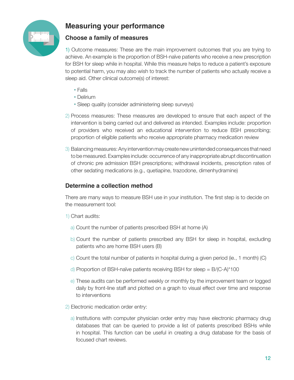

### **Measuring your performance**

### **Choose a family of measures**

1) Outcome measures: These are the main improvement outcomes that you are trying to achieve. An example is the proportion of BSH-naïve patients who receive a new prescription for BSH for sleep while in hospital. While this measure helps to reduce a patient's exposure to potential harm, you may also wish to track the number of patients who actually receive a sleep aid. Other clinical outcome(s) of interest:

- Falls
- Delirium
- Sleep quality (consider administering sleep surveys)
- 2) Process measures: These measures are developed to ensure that each aspect of the intervention is being carried out and delivered as intended. Examples include: proportion of providers who received an educational intervention to reduce BSH prescribing; proportion of eligible patients who receive appropriate pharmacy medication review
- 3) Balancing measures: Any intervention may create new unintended consequences that need to be measured. Examples include: occurrence of any inappropriate abrupt discontinuation of chronic pre admission BSH prescriptions; withdrawal incidents, prescription rates of other sedating medications (e.g., quetiapine, trazodone, dimenhydramine)

### **Determine a collection method**

There are many ways to measure BSH use in your institution. The first step is to decide on the measurement tool:

- 1) Chart audits:
	- a) Count the number of patients prescribed BSH at home (A)
	- b) Count the number of patients prescribed any BSH for sleep in hospital, excluding patients who are home BSH users (B)
	- c) Count the total number of patients in hospital during a given period (ie., 1 month) (C)
	- d) Proportion of BSH-naïve patients receiving BSH for sleep =  $B/(C-A)^*100$
	- e) These audits can be performed weekly or monthly by the improvement team or logged daily by front-line staff and plotted on a graph to visual effect over time and response to interventions
- 2) Electronic medication order entry:
	- a) Institutions with computer physician order entry may have electronic pharmacy drug databases that can be queried to provide a list of patients prescribed BSHs while in hospital. This function can be useful in creating a drug database for the basis of focused chart reviews.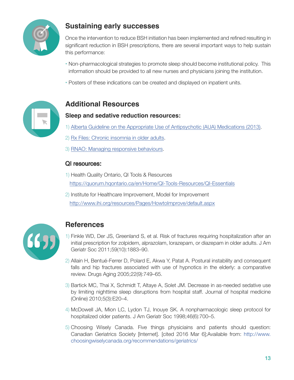

### **Sustaining early successes**

Once the intervention to reduce BSH initiation has been implemented and refined resulting in significant reduction in BSH prescriptions, there are several important ways to help sustain this performance:

- Non-pharmacological strategies to promote sleep should become institutional policy. This information should be provided to all new nurses and physicians joining the institution.
- Posters of these indications can be created and displayed on inpatient units.



## **Additional Resources**

### **Sleep and sedative reduction resources:**

- 1) [Alberta Guideline on the Appropriate Use of Antipsychotic \(AUA\) Medications \(2013\).](http://www.albertahealthservices.ca/scns/auatoolkit.aspx)
- 2) [Rx Files: Chronic insomnia in older adults.](http://www.rxfiles.ca/rxfiles/uploads/documents/Insomnia-Older-Adults-QandA.pdf)
- 3) [RNAO: Managing responsive behaviours](http://ltctoolkit.rnao.ca).

### QI resources:

- 1) Health Quality Ontario, QI Tools & Resources <https://quorum.hqontario.ca/en/Home/QI-Tools-Resources/QI-Essentials>
- 2) Institute for Healthcare Improvement, Model for Improvement <http://www.ihi.org/resources/Pages/HowtoImprove/default.aspx>



### **References**

- 1) Finkle WD, Der JS, Greenland S, et al. Risk of fractures requiring hospitalization after an initial prescription for zolpidem, alprazolam, lorazepam, or diazepam in older adults. J Am Geriatr Soc 2011;59(10):1883–90.
- 2) Allain H, Bentué-Ferrer D, Polard E, Akwa Y, Patat A. Postural instability and consequent falls and hip fractures associated with use of hypnotics in the elderly: a comparative review. Drugs Aging 2005;22(9):749–65.
- 3) Bartick MC, Thai X, Schmidt T, Altaye A, Solet JM. Decrease in as-needed sedative use by limiting nighttime sleep disruptions from hospital staff. Journal of hospital medicine (Online) 2010;5(3):E20–4.
- 4) McDowell JA, Mion LC, Lydon TJ, Inouye SK. A nonpharmacologic sleep protocol for hospitalized older patients. J Am Geriatr Soc 1998;46(6):700–5.
- 5) Choosing Wisely Canada. Five things physiciains and patients should question: Canadian Geriatrics Society [Internet]. [cited 2016 Mar 6];Available from: http://www. choosingwiselycanada.org/recommendations/geriatrics/